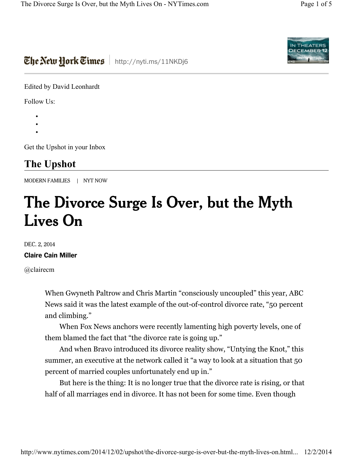

The Netu Hork Times | http://nyti.ms/11NKDj6

Edited by David Leonhardt

Follow Us:

- •
- •
- •

Get the Upshot in your Inbox

## **The Upshot**

MODERN FAMILIES | NYT NOW

## **The Divorce Surge Is Over, but the Myth Lives On**

DEC. 2, 2014

## **Claire Cain Miller**

@clairecm

When Gwyneth Paltrow and Chris Martin "consciously uncoupled" this year, ABC News said it was the latest example of the out-of-control divorce rate, "50 percent and climbing."

When Fox News anchors were recently lamenting high poverty levels, one of them blamed the fact that "the divorce rate is going up."

And when Bravo introduced its divorce reality show, "Untying the Knot," this summer, an executive at the network called it "a way to look at a situation that 50 percent of married couples unfortunately end up in."

But here is the thing: It is no longer true that the divorce rate is rising, or that half of all marriages end in divorce. It has not been for some time. Even though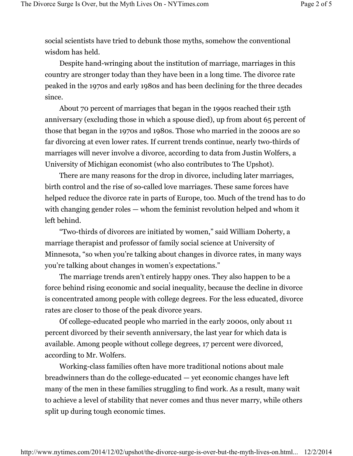social scientists have tried to debunk those myths, somehow the conventional wisdom has held.

Despite hand-wringing about the institution of marriage, marriages in this country are stronger today than they have been in a long time. The divorce rate peaked in the 1970s and early 1980s and has been declining for the three decades since.

About 70 percent of marriages that began in the 1990s reached their 15th anniversary (excluding those in which a spouse died), up from about 65 percent of those that began in the 1970s and 1980s. Those who married in the 2000s are so far divorcing at even lower rates. If current trends continue, nearly two-thirds of marriages will never involve a divorce, according to data from Justin Wolfers, a University of Michigan economist (who also contributes to The Upshot).

There are many reasons for the drop in divorce, including later marriages, birth control and the rise of so-called love marriages. These same forces have helped reduce the divorce rate in parts of Europe, too. Much of the trend has to do with changing gender roles — whom the feminist revolution helped and whom it left behind.

"Two-thirds of divorces are initiated by women," said William Doherty, a marriage therapist and professor of family social science at University of Minnesota, "so when you're talking about changes in divorce rates, in many ways you're talking about changes in women's expectations."

The marriage trends aren't entirely happy ones. They also happen to be a force behind rising economic and social inequality, because the decline in divorce is concentrated among people with college degrees. For the less educated, divorce rates are closer to those of the peak divorce years.

Of college-educated people who married in the early 2000s, only about 11 percent divorced by their seventh anniversary, the last year for which data is available. Among people without college degrees, 17 percent were divorced, according to Mr. Wolfers.

Working-class families often have more traditional notions about male breadwinners than do the college-educated — yet economic changes have left many of the men in these families struggling to find work. As a result, many wait to achieve a level of stability that never comes and thus never marry, while others split up during tough economic times.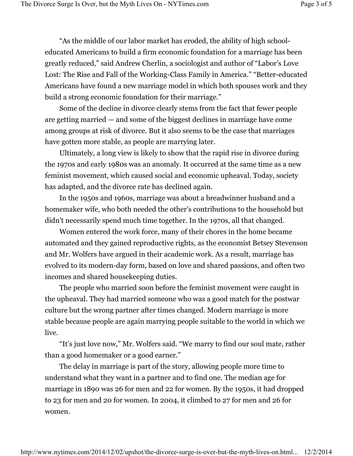"As the middle of our labor market has eroded, the ability of high schooleducated Americans to build a firm economic foundation for a marriage has been greatly reduced," said Andrew Cherlin, a sociologist and author of "Labor's Love Lost: The Rise and Fall of the Working-Class Family in America." "Better-educated Americans have found a new marriage model in which both spouses work and they build a strong economic foundation for their marriage."

Some of the decline in divorce clearly stems from the fact that fewer people are getting married — and some of the biggest declines in marriage have come among groups at risk of divorce. But it also seems to be the case that marriages have gotten more stable, as people are marrying later.

Ultimately, a long view is likely to show that the rapid rise in divorce during the 1970s and early 1980s was an anomaly. It occurred at the same time as a new feminist movement, which caused social and economic upheaval. Today, society has adapted, and the divorce rate has declined again.

In the 1950s and 1960s, marriage was about a breadwinner husband and a homemaker wife, who both needed the other's contributions to the household but didn't necessarily spend much time together. In the 1970s, all that changed.

Women entered the work force, many of their chores in the home became automated and they gained reproductive rights, as the economist Betsey Stevenson and Mr. Wolfers have argued in their academic work. As a result, marriage has evolved to its modern-day form, based on love and shared passions, and often two incomes and shared housekeeping duties.

The people who married soon before the feminist movement were caught in the upheaval. They had married someone who was a good match for the postwar culture but the wrong partner after times changed. Modern marriage is more stable because people are again marrying people suitable to the world in which we live.

"It's just love now," Mr. Wolfers said. "We marry to find our soul mate, rather than a good homemaker or a good earner."

The delay in marriage is part of the story, allowing people more time to understand what they want in a partner and to find one. The median age for marriage in 1890 was 26 for men and 22 for women. By the 1950s, it had dropped to 23 for men and 20 for women. In 2004, it climbed to 27 for men and 26 for women.